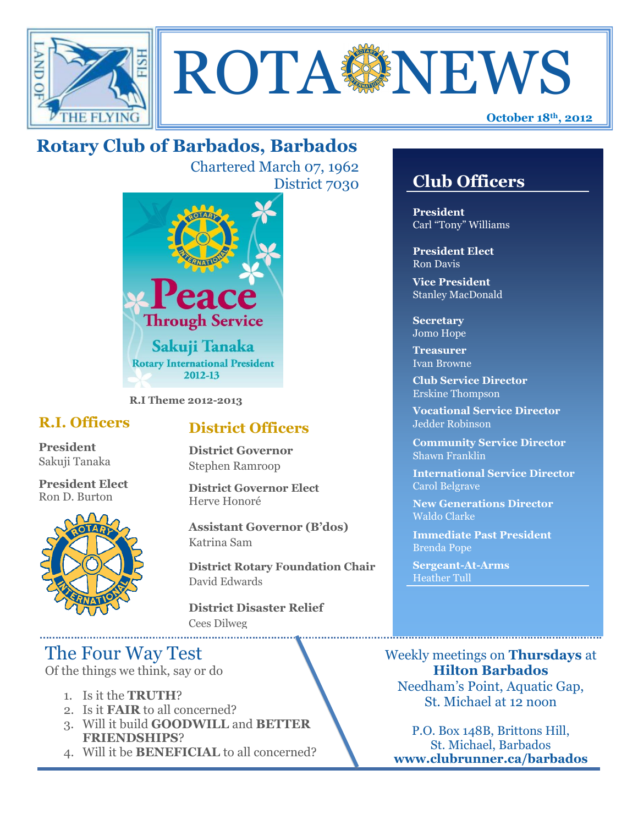



# **Rotary Club of Barbados, Barbados**

Chartered March 07, 1962 District 7030



**R.I Theme 2012-2013**

### **R.I. Officers**

**President**  Sakuji Tanaka

**President Elect** Ron D. Burton



### **District Officers**

**District Governor** Stephen Ramroop

**District Governor Elect** Herve Honoré

**Assistant Governor (B'dos)** Katrina Sam

**District Rotary Foundation Chair** David Edwards

**District Disaster Relief** Cees Dilweg

## The Four Way Test

Of the things we think, say or do

- 1. Is it the **TRUTH**?
- 2. Is it **FAIR** to all concerned?
- 3. Will it build **GOODWILL** and **BETTER FRIENDSHIPS**?
- 4. Will it be **BENEFICIAL** to all concerned?

### **Club Officers**

**Club Officers** 

**President** Carl "Tony" Williams

**President Elect** Ron Davis

**Vice President** Stanley MacDonald

**Secretary** Jomo Hope

**Treasurer** Ivan Browne

**Club Service Director** Erskine Thompson

**Vocational Service Director** Jedder Robinson

**Community Service Director** Shawn Franklin

**International Service Director** Carol Belgrave

**New Generations Director** Waldo Clarke

**Immediate Past President** Brenda Pope

**Sergeant-At-Arms** Heather Tull

Weekly meetings on **Thursdays** at **Hilton Barbados** Needham's Point, Aquatic Gap, St. Michael at 12 noon

P.O. Box 148B, Brittons Hill, St. Michael, Barbados **www.clubrunner.ca/barbados**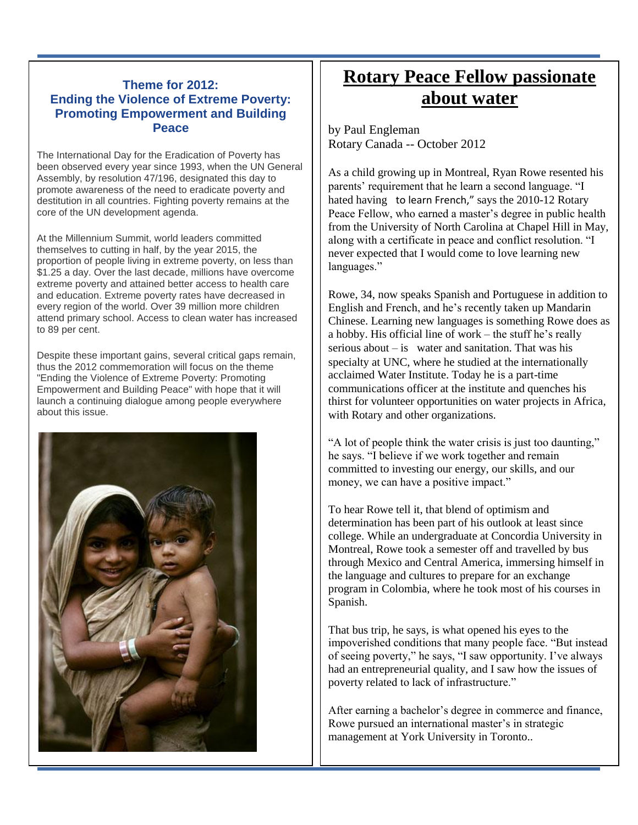#### **Theme for 2012: Ending the Violence of Extreme Poverty: Promoting Empowerment and Building Peace**

The International Day for the Eradication of Poverty has been observed every year since 1993, when the UN General Assembly, by resolution 47/196, designated this day to promote awareness of the need to eradicate poverty and destitution in all countries. Fighting poverty remains at the core of the UN development agenda.

At the Millennium Summit, world leaders committed themselves to cutting in half, by the year 2015, the proportion of people living in extreme poverty, on less than \$1.25 a day. Over the last decade, millions have overcome extreme poverty and attained better access to health care and education. Extreme poverty rates have decreased in every region of the world. Over 39 million more children attend primary school. Access to clean water has increased to 89 per cent.

Despite these important gains, several critical gaps remain, thus the 2012 commemoration will focus on the theme "Ending the Violence of Extreme Poverty: Promoting Empowerment and Building Peace" with hope that it will launch a continuing dialogue among people everywhere about this issue.



## **Rotary Peace Fellow passionate about water**

by Paul Engleman Rotary Canada -- October 2012

As a child growing up in Montreal, Ryan Rowe resented his parents' requirement that he learn a second language. "I hated having to learn French," says the 2010-12 Rotary Peace Fellow, who earned a master's degree in public health from the University of North Carolina at Chapel Hill in May, along with a certificate in peace and conflict resolution. "I never expected that I would come to love learning new languages."

Rowe, 34, now speaks Spanish and Portuguese in addition to English and French, and he's recently taken up Mandarin Chinese. Learning new languages is something Rowe does as a hobby. His official line of work – the stuff he's really serious about  $-\mathbf{i}$  water and sanitation. That was his specialty at UNC, where he studied at the internationally acclaimed Water Institute. Today he is a part-time communications officer at the institute and quenches his thirst for volunteer opportunities on water projects in Africa, with Rotary and other organizations.

"A lot of people think the water crisis is just too daunting," he says. "I believe if we work together and remain committed to investing our energy, our skills, and our money, we can have a positive impact."

To hear Rowe tell it, that blend of optimism and determination has been part of his outlook at least since college. While an undergraduate at Concordia University in Montreal, Rowe took a semester off and travelled by bus through Mexico and Central America, immersing himself in the language and cultures to prepare for an exchange program in Colombia, where he took most of his courses in Spanish.

That bus trip, he says, is what opened his eyes to the impoverished conditions that many people face. "But instead of seeing poverty," he says, "I saw opportunity. I've always had an entrepreneurial quality, and I saw how the issues of poverty related to lack of infrastructure."

After earning a bachelor's degree in commerce and finance, Rowe pursued an international master's in strategic management at York University in Toronto..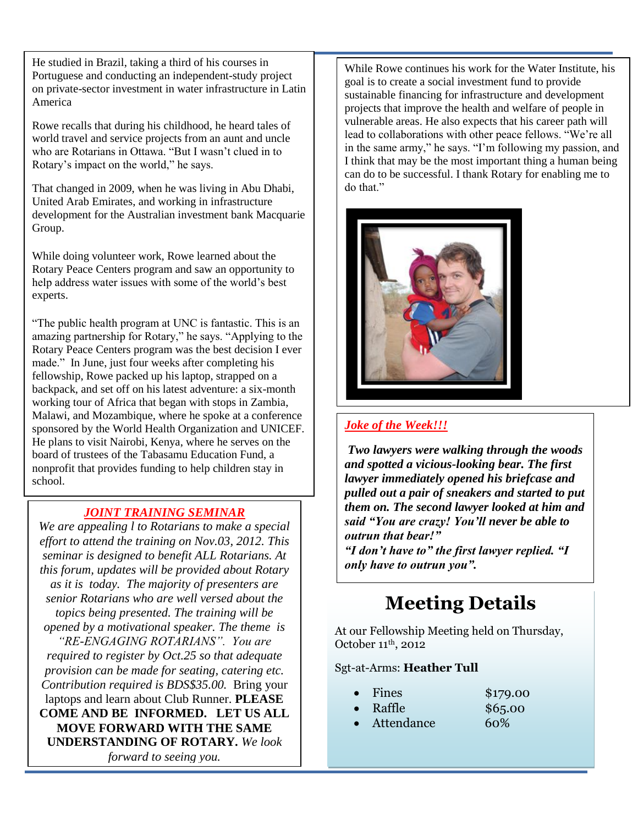He studied in Brazil, taking a third of his courses in Portuguese and conducting an independent-study project on private-sector investment in water infrastructure in Latin America

Rowe recalls that during his childhood, he heard tales of world travel and service projects from an aunt and uncle who are Rotarians in Ottawa. "But I wasn't clued in to Rotary's impact on the world," he says.

That changed in 2009, when he was living in Abu Dhabi, United Arab Emirates, and working in infrastructure development for the Australian investment bank Macquarie Group.

While doing volunteer work, Rowe learned about the Rotary Peace Centers program and saw an opportunity to help address water issues with some of the world's best experts.

"The public health program at UNC is fantastic. This is an amazing partnership for Rotary," he says. "Applying to the Rotary Peace Centers program was the best decision I ever made." In June, just four weeks after completing his fellowship, Rowe packed up his laptop, strapped on a backpack, and set off on his latest adventure: a six-month working tour of Africa that began with stops in Zambia, Malawi, and Mozambique, where he spoke at a conference sponsored by the World Health Organization and UNICEF. He plans to visit Nairobi, Kenya, where he serves on the board of trustees of the Tabasamu Education Fund, a nonprofit that provides funding to help children stay in school.

### *JOINT TRAINING SEMINAR*

*We are appealing l to Rotarians to make a special effort to attend the training on Nov.03, 2012. This seminar is designed to benefit ALL Rotarians. At this forum, updates will be provided about Rotary as it is today. The majority of presenters are senior Rotarians who are well versed about the topics being presented. The training will be opened by a motivational speaker. The theme is "RE-ENGAGING ROTARIANS". You are required to register by Oct.25 so that adequate provision can be made for seating, catering etc. Contribution required is BDS\$35.00.* Bring your laptops and learn about Club Runner. **PLEASE COME AND BE INFORMED. LET US ALL MOVE FORWARD WITH THE SAME UNDERSTANDING OF ROTARY.** *We look forward to seeing you.*

While Rowe continues his work for the Water Institute, his goal is to create a social investment fund to provide sustainable financing for infrastructure and development projects that improve the health and welfare of people in vulnerable areas. He also expects that his career path will lead to collaborations with other peace fellows. "We're all in the same army," he says. "I'm following my passion, and I think that may be the most important thing a human being can do to be successful. I thank Rotary for enabling me to do that."



#### *Joke of the Week!!!*

*Two lawyers were walking through the woods and spotted a vicious-looking bear. The first lawyer immediately opened his briefcase and pulled out a pair of sneakers and started to put them on. The second lawyer looked at him and said "You are crazy! You'll never be able to outrun that bear!"*

*"I don't have to" the first lawyer replied. "I only have to outrun you".*

# **Meeting Details**

At our Fellowship Meeting held on Thursday, October 11th, 2012

#### Sgt-at-Arms: **Heather Tull**

- Fines  $$179.00$
- Raffle \$65.00
- Attendance 60%